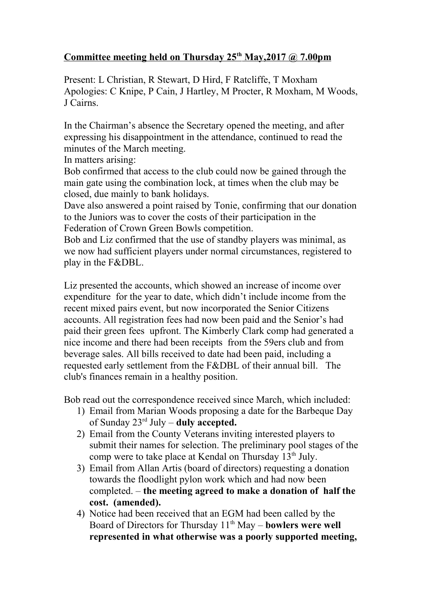## **Committee meeting held on Thursday 25th May,2017 @ 7.00pm**

Present: L Christian, R Stewart, D Hird, F Ratcliffe, T Moxham Apologies: C Knipe, P Cain, J Hartley, M Procter, R Moxham, M Woods, J Cairns.

In the Chairman's absence the Secretary opened the meeting, and after expressing his disappointment in the attendance, continued to read the minutes of the March meeting.

In matters arising:

Bob confirmed that access to the club could now be gained through the main gate using the combination lock, at times when the club may be closed, due mainly to bank holidays.

Dave also answered a point raised by Tonie, confirming that our donation to the Juniors was to cover the costs of their participation in the Federation of Crown Green Bowls competition.

Bob and Liz confirmed that the use of standby players was minimal, as we now had sufficient players under normal circumstances, registered to play in the F&DBL.

Liz presented the accounts, which showed an increase of income over expenditure for the year to date, which didn't include income from the recent mixed pairs event, but now incorporated the Senior Citizens accounts. All registration fees had now been paid and the Senior's had paid their green fees upfront. The Kimberly Clark comp had generated a nice income and there had been receipts from the 59ers club and from beverage sales. All bills received to date had been paid, including a requested early settlement from the F&DBL of their annual bill. The club's finances remain in a healthy position.

Bob read out the correspondence received since March, which included:

- 1) Email from Marian Woods proposing a date for the Barbeque Day of Sunday 23rd July – **duly accepted.**
- 2) Email from the County Veterans inviting interested players to submit their names for selection. The preliminary pool stages of the comp were to take place at Kendal on Thursday  $13<sup>th</sup>$  July.
- 3) Email from Allan Artis (board of directors) requesting a donation towards the floodlight pylon work which and had now been completed. – **the meeting agreed to make a donation of half the cost. (amended).**
- 4) Notice had been received that an EGM had been called by the Board of Directors for Thursday 11<sup>th</sup> May – **bowlers were well represented in what otherwise was a poorly supported meeting,**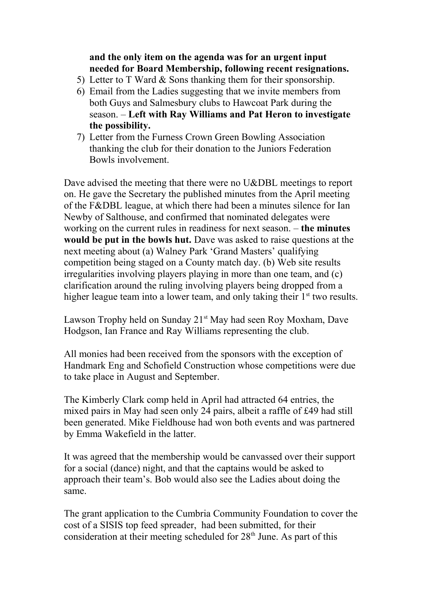## **and the only item on the agenda was for an urgent input needed for Board Membership, following recent resignations.**

- 5) Letter to T Ward & Sons thanking them for their sponsorship.
- 6) Email from the Ladies suggesting that we invite members from both Guys and Salmesbury clubs to Hawcoat Park during the season. – **Left with Ray Williams and Pat Heron to investigate the possibility.**
- 7) Letter from the Furness Crown Green Bowling Association thanking the club for their donation to the Juniors Federation Bowls involvement.

Dave advised the meeting that there were no U&DBL meetings to report on. He gave the Secretary the published minutes from the April meeting of the F&DBL league, at which there had been a minutes silence for Ian Newby of Salthouse, and confirmed that nominated delegates were working on the current rules in readiness for next season. – **the minutes would be put in the bowls hut.** Dave was asked to raise questions at the next meeting about (a) Walney Park 'Grand Masters' qualifying competition being staged on a County match day. (b) Web site results irregularities involving players playing in more than one team, and (c) clarification around the ruling involving players being dropped from a higher league team into a lower team, and only taking their  $1<sup>st</sup>$  two results.

Lawson Trophy held on Sunday  $21^{st}$  May had seen Roy Moxham, Dave Hodgson, Ian France and Ray Williams representing the club.

All monies had been received from the sponsors with the exception of Handmark Eng and Schofield Construction whose competitions were due to take place in August and September.

The Kimberly Clark comp held in April had attracted 64 entries, the mixed pairs in May had seen only 24 pairs, albeit a raffle of £49 had still been generated. Mike Fieldhouse had won both events and was partnered by Emma Wakefield in the latter.

It was agreed that the membership would be canvassed over their support for a social (dance) night, and that the captains would be asked to approach their team's. Bob would also see the Ladies about doing the same.

The grant application to the Cumbria Community Foundation to cover the cost of a SISIS top feed spreader, had been submitted, for their consideration at their meeting scheduled for  $28<sup>th</sup>$  June. As part of this